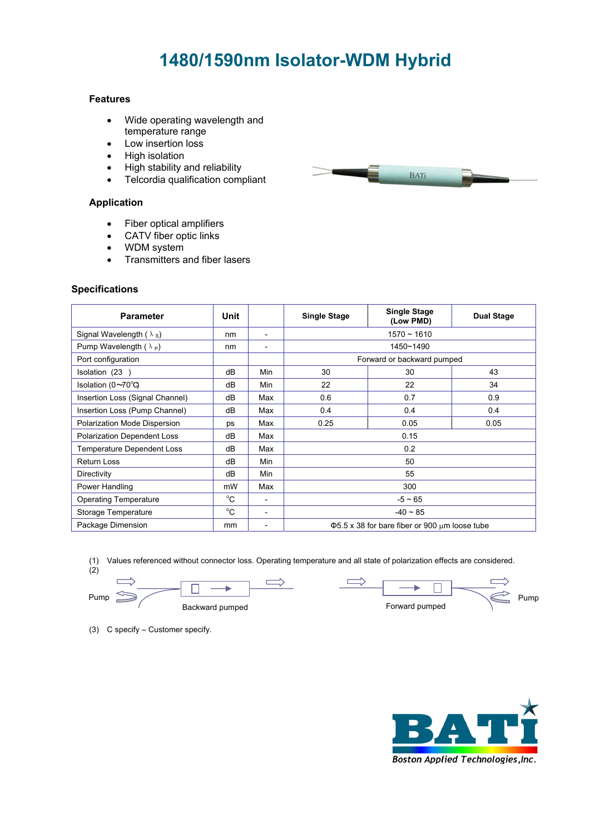# **1480/1590nm Isolator-WDM Hybrid**

#### **Features**

- Wide operating wavelength and temperature range
- Low insertion loss
- High isolation
- High stability and reliability
- Telcordia qualification compliant

### **Application**

- Fiber optical amplifiers
- CATV fiber optic links
- WDM system
- Transmitters and fiber lasers

#### **Specifications**

| <b>Parameter</b>                   | Unit        |                          | <b>Single Stage</b>                                      | <b>Single Stage</b><br>(Low PMD) | <b>Dual Stage</b> |
|------------------------------------|-------------|--------------------------|----------------------------------------------------------|----------------------------------|-------------------|
| Signal Wavelength $(\lambda_s)$    | nm          | $\overline{\phantom{0}}$ | $1570 - 1610$                                            |                                  |                   |
| Pump Wavelength $(\lambda_P)$      | nm          | $\qquad \qquad$          | 1450~1490                                                |                                  |                   |
| Port configuration                 |             |                          | Forward or backward pumped                               |                                  |                   |
| Isolation (23)                     | dB          | Min                      | 30                                                       | 30                               | 43                |
| Isolation (0~70°C)                 | dB          | Min                      | 22                                                       | 22                               | 34                |
| Insertion Loss (Signal Channel)    | dB          | Max                      | 0.6                                                      | 0.7                              | 0.9               |
| Insertion Loss (Pump Channel)      | dB          | Max                      | 0.4                                                      | 0.4                              | 0.4               |
| Polarization Mode Dispersion       | ps          | Max                      | 0.25                                                     | 0.05                             | 0.05              |
| <b>Polarization Dependent Loss</b> | dB          | Max                      | 0.15                                                     |                                  |                   |
| <b>Temperature Dependent Loss</b>  | dB          | Max                      | 0.2                                                      |                                  |                   |
| <b>Return Loss</b>                 | dB          | Min                      | 50                                                       |                                  |                   |
| Directivity                        | dB          | Min                      | 55                                                       |                                  |                   |
| Power Handling                     | mW          | Max                      | 300                                                      |                                  |                   |
| <b>Operating Temperature</b>       | $^{\circ}C$ | $\overline{a}$           | $-5 \sim 65$                                             |                                  |                   |
| Storage Temperature                | $^{\circ}C$ | $\overline{\phantom{a}}$ | $-40 \sim 85$                                            |                                  |                   |
| Package Dimension                  | mm          | $\overline{\phantom{a}}$ | $\Phi$ 5.5 x 38 for bare fiber or 900 $\mu$ m loose tube |                                  |                   |

(1) Values referenced without connector loss. Operating temperature and all state of polarization effects are considered.

 $\Box$ 

 $(2)$ 

(3) C specify – Customer specify.

Backward pumped **Forward pumped Forward pumped** 

ь  $\Box$  $P$ ump  $\gg$   $\swarrow$   $\qquad$   $\qquad$   $\qquad$   $\qquad$   $\qquad$   $\qquad$   $\qquad$   $\qquad$   $\qquad$   $\qquad$   $\qquad$   $\qquad$   $\qquad$   $\qquad$   $\qquad$   $\qquad$   $\qquad$   $\qquad$   $\qquad$   $\qquad$   $\qquad$   $\qquad$   $\qquad$   $\qquad$   $\qquad$   $\qquad$   $\qquad$   $\qquad$   $\qquad$   $\qquad$   $\qquad$   $\qquad$   $\qquad$   $\qquad$ 



BATi